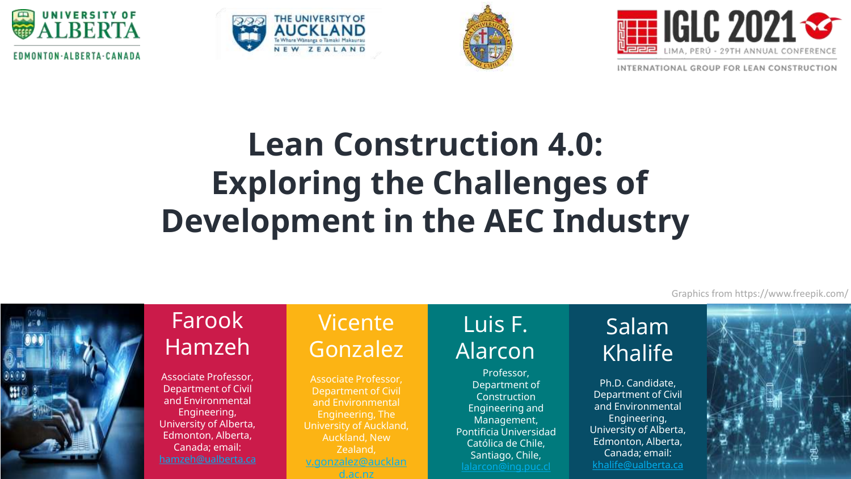







INTERNATIONAL GROUP FOR LEAN CONSTRUCTION

# **Lean Construction 4.0: Exploring the Challenges of Development in the AEC Industry**



#### Farook Hamzeh

Associate Professor, Department of Civil and Environmental Engineering, University of Alberta, Edmonton, Alberta, Canada; email:

#### Vicente Gonzalez

Associate Professor, Department of Civil and Environmental Engineering, The University of Auckland, Auckland, New Zealand, v.gonzalez@aucklan d.ac.nz

#### Luis F. Alarcon

Professor, Department of Construction Engineering and Management, Pontificia Universidad Católica de Chile, Santiago, Chile,

#### Salam Khalife

Ph.D. Candidate, Department of Civil and Environmental Engineering, University of Alberta, Edmonton, Alberta, Canada; email: [khalife@ualberta.ca](mailto:khalife@ualberta.ca)



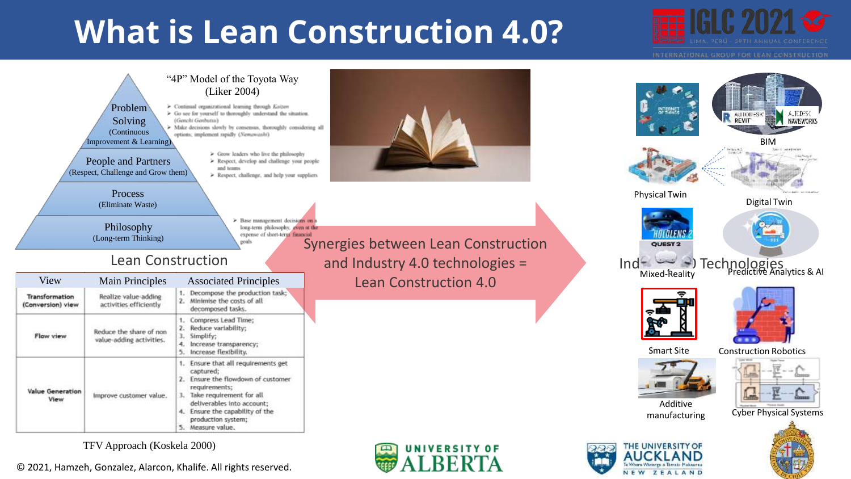## **What is Lean Construction 4.0?**



NAVISWORKS

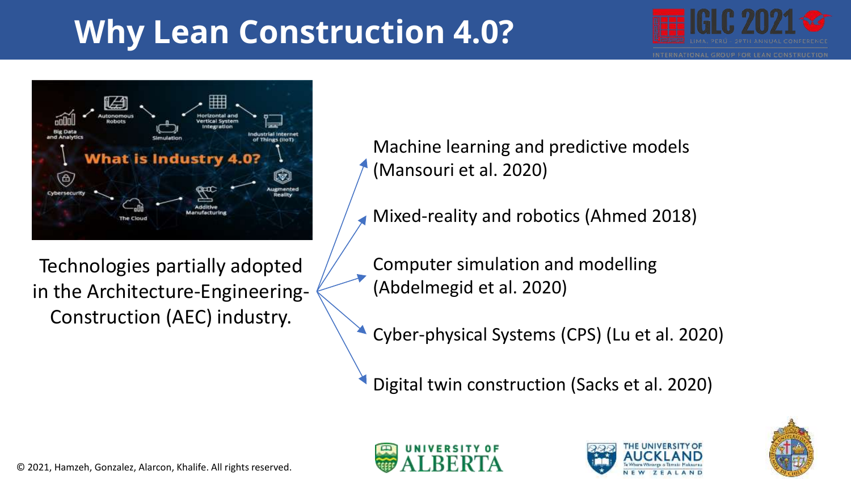# **Why Lean Construction 4.0?**





Machine learning and predictive models (Mansouri et al. 2020)

Mixed-reality and robotics (Ahmed 2018)

Technologies partially adopted in the Architecture-Engineering-Construction (AEC) industry.

Computer simulation and modelling (Abdelmegid et al. 2020)

Cyber-physical Systems (CPS) (Lu et al. 2020)

Digital twin construction (Sacks et al. 2020)





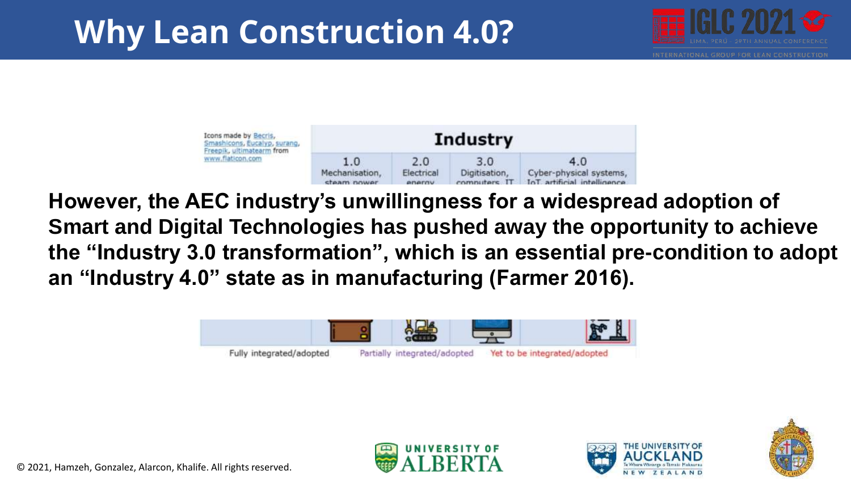## **Why Lean Construction 4.0?**





**However, the AEC industry's unwillingness for a widespread adoption of Smart and Digital Technologies has pushed away the opportunity to achieve the "Industry 3.0 transformation", which is an essential pre-condition to adopt an "Industry 4.0" state as in manufacturing (Farmer 2016).** 







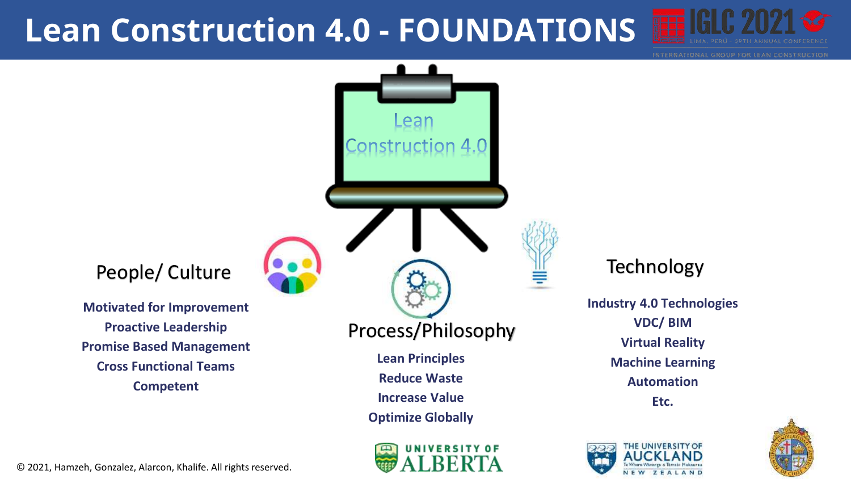### **Lean Construction 4.0 - FOUNDATIONS**





### **NIVERSITY OF**

#### **Technology**

**Industry 4.0 Technologies VDC/ BIM Virtual Reality Machine Learning Automation Etc.**





© 2021, Hamzeh, Gonzalez, Alarcon, Khalife. All rights reserved.

People/ Culture

**Proactive Leadership**

**Cross Functional Teams**

**Competent**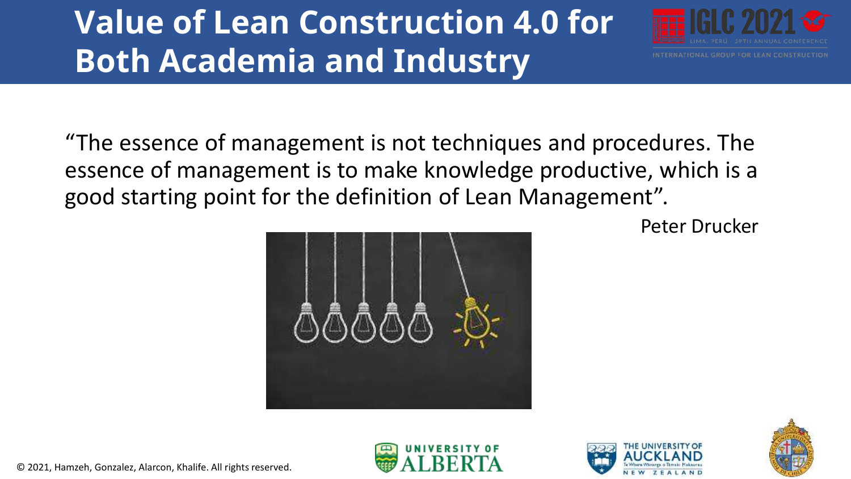## **Value of Lean Construction 4.0 for Both Academia and Industry**



"The essence of management is not techniques and procedures. The essence of management is to make knowledge productive, which is a good starting point for the definition of Lean Management".

Peter Drucker







© 2021, Hamzeh, Gonzalez, Alarcon, Khalife. All rights reserved.

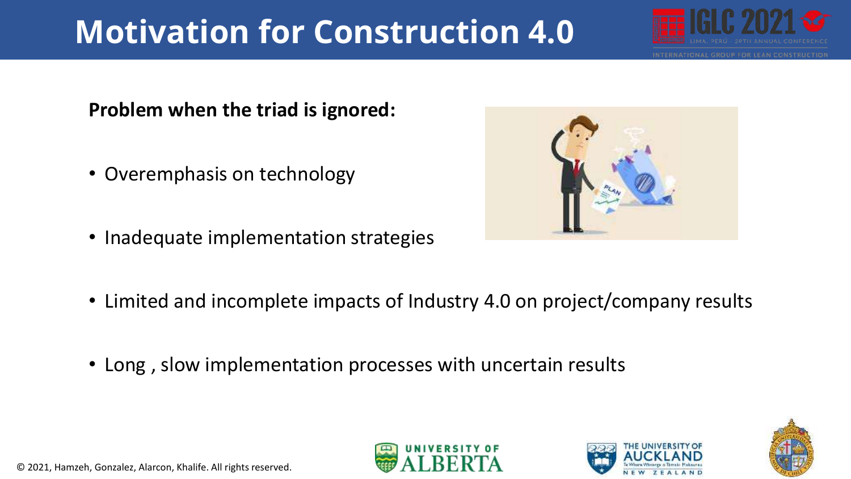# **Motivation for Construction 4.0**



#### **Problem when the triad is ignored:**

- Overemphasis on technology
- Inadequate implementation strategies



- Limited and incomplete impacts of Industry 4.0 on project/company results
- Long , slow implementation processes with uncertain results





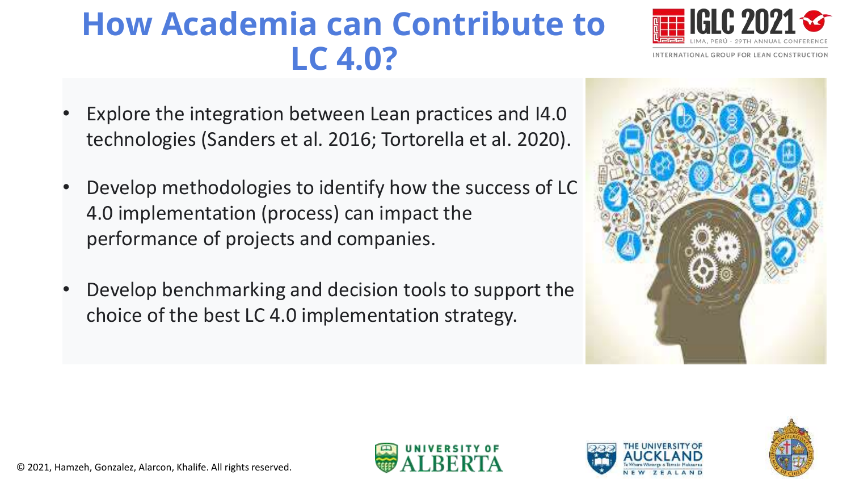## **How Academia can Contribute to LC 4.0?**

- Explore the integration between Lean practices and I4.0 technologies (Sanders et al. 2016; Tortorella et al. 2020).
- Develop methodologies to identify how the success of LC 4.0 implementation (process) can impact the performance of projects and companies.
- Develop benchmarking and decision tools to support the choice of the best LC 4.0 implementation strategy.









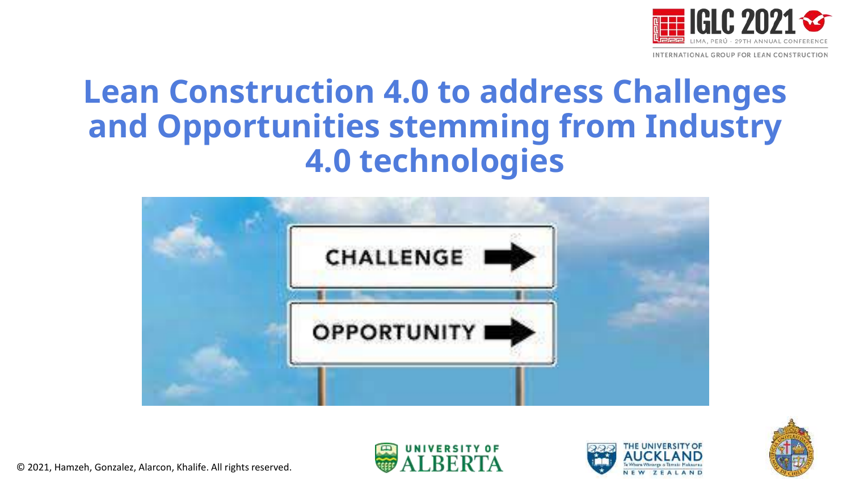

INTERNATIONAL GROUP FOR LEAN CONSTRUCTION

### **Lean Construction 4.0 to address Challenges and Opportunities stemming from Industry 4.0 technologies**







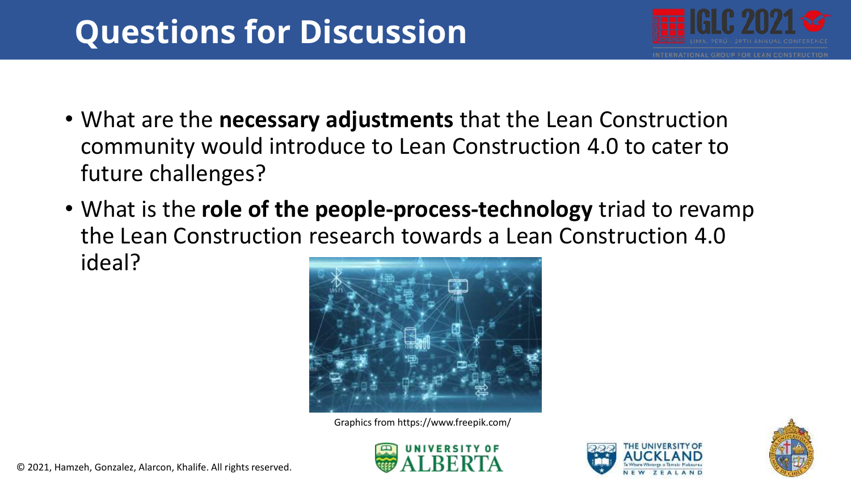## **Questions for Discussion**



- What are the **necessary adjustments** that the Lean Construction community would introduce to Lean Construction 4.0 to cater to future challenges?
- What is the **role of the people-process-technology** triad to revamp the Lean Construction research towards a Lean Construction 4.0 ideal?



Graphics from https://www.freepik.com/





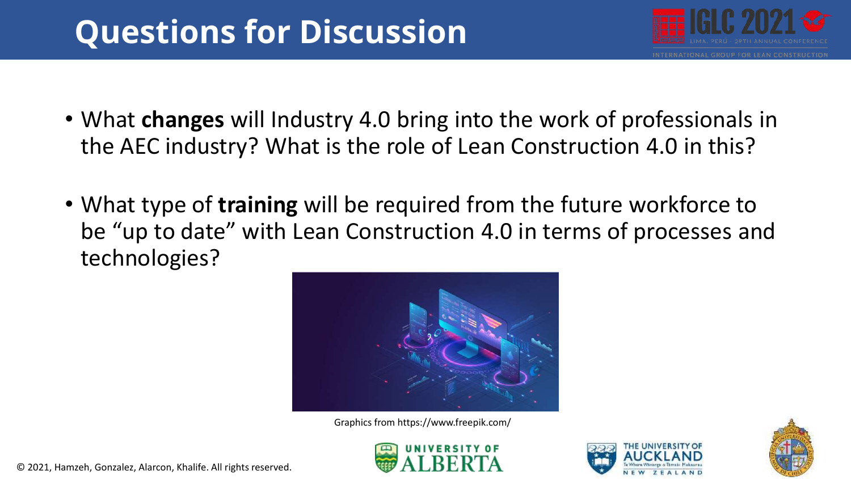## **Questions for Discussion**



- What **changes** will Industry 4.0 bring into the work of professionals in the AEC industry? What is the role of Lean Construction 4.0 in this?
- What type of **training** will be required from the future workforce to be "up to date" with Lean Construction 4.0 in terms of processes and technologies?



Graphics from https://www.freepik.com/







© 2021, Hamzeh, Gonzalez, Alarcon, Khalife. All rights reserved.